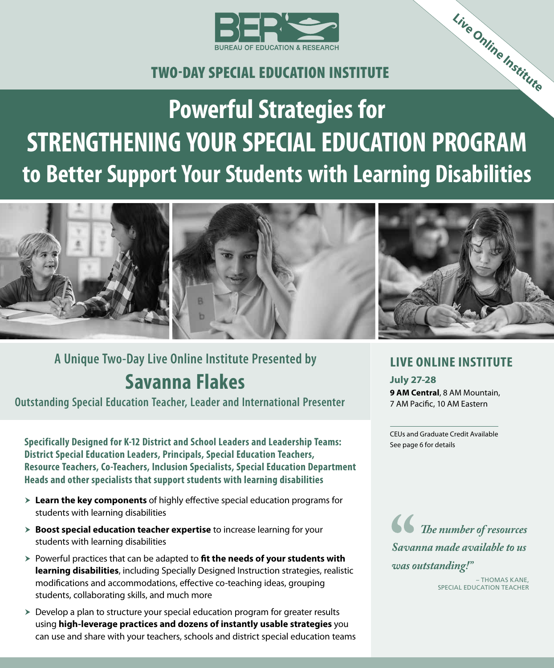

# TWO‑DAY SPECIAL EDUCATION INSTITUTE

**Powerful Strategies for STRENGTHENING YOUR SPECIAL EDUCATION PROGRAM to Better Support Your Students with Learning Disabilities Live Online Institute**



# **Savanna Flakes A Unique Two-Day Live Online Institute Presented by**

**Outstanding Special Education Teacher, Leader and International Presenter**

**Specifically Designed for K-12 District and School Leaders and Leadership Teams: District Special Education Leaders, Principals, Special Education Teachers, Resource Teachers, Co-Teachers, Inclusion Specialists, Special Education Department Heads and other specialists that support students with learning disabilities**

- **Exam the key components** of highly effective special education programs for students with learning disabilities
- $\triangleright$  **Boost special education teacher expertise** to increase learning for your students with learning disabilities
- h Powerful practices that can be adapted to **fit the needs of your students with learning disabilities**, including Specially Designed Instruction strategies, realistic modifications and accommodations, effective co-teaching ideas, grouping students, collaborating skills, and much more
- $\triangleright$  Develop a plan to structure your special education program for greater results using **high-leverage practices and dozens of instantly usable strategies** you can use and share with your teachers, schools and district special education teams

### **LIVE ONLINE INSTITUTE**

**July 27-28 9 AM Central**, 8 AM Mountain, 7 AM Pacific, 10 AM Eastern

CEUs and Graduate Credit Available See page 6 for details

 *The number of resources Savanna made available to us was outstanding!"*

> – THOMAS KANE, SPECIAL EDUCATION TEACHER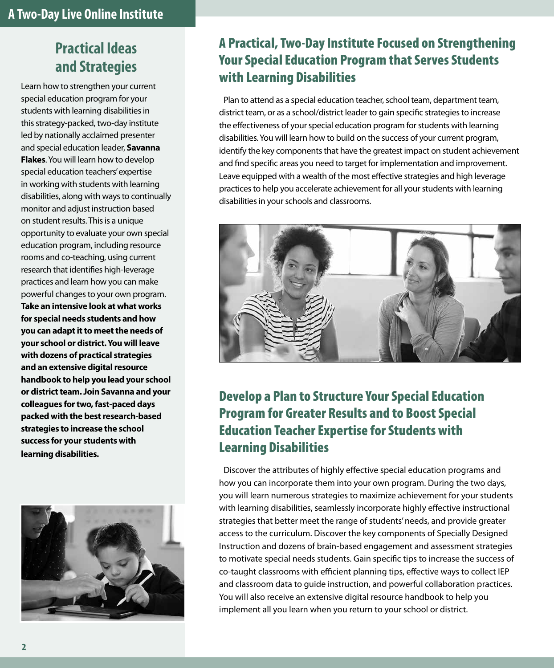# **Practical Ideas and Strategies**

Learn how to strengthen your current special education program for your students with learning disabilities in this strategy-packed, two-day institute led by nationally acclaimed presenter and special education leader, **Savanna Flakes**. You will learn how to develop special education teachers' expertise in working with students with learning disabilities, along with ways to continually monitor and adjust instruction based on student results. This is a unique opportunity to evaluate your own special education program, including resource rooms and co-teaching, using current research that identifies high-leverage practices and learn how you can make powerful changes to your own program. **Take an intensive look at what works for special needs students and how you can adapt it to meet the needs of your school or district. You will leave with dozens of practical strategies and an extensive digital resource handbook to help you lead your school or district team. Join Savanna and your colleagues for two, fast-paced days packed with the best research-based strategies to increase the school success for your students with learning disabilities.**



### A Practical, Two-Day Institute Focused on Strengthening Your Special Education Program that Serves Students with Learning Disabilities

Plan to attend as a special education teacher, school team, department team, district team, or as a school/district leader to gain specific strategies to increase the effectiveness of your special education program for students with learning disabilities. You will learn how to build on the success of your current program, identify the key components that have the greatest impact on student achievement and find specific areas you need to target for implementation and improvement. Leave equipped with a wealth of the most effective strategies and high leverage practices to help you accelerate achievement for all your students with learning disabilities in your schools and classrooms.



# Develop a Plan to Structure Your Special Education Program for Greater Results and to Boost Special Education Teacher Expertise for Students with Learning Disabilities

Discover the attributes of highly effective special education programs and how you can incorporate them into your own program. During the two days, you will learn numerous strategies to maximize achievement for your students with learning disabilities, seamlessly incorporate highly effective instructional strategies that better meet the range of students' needs, and provide greater access to the curriculum. Discover the key components of Specially Designed Instruction and dozens of brain-based engagement and assessment strategies to motivate special needs students. Gain specific tips to increase the success of co-taught classrooms with efficient planning tips, effective ways to collect IEP and classroom data to guide instruction, and powerful collaboration practices. You will also receive an extensive digital resource handbook to help you implement all you learn when you return to your school or district.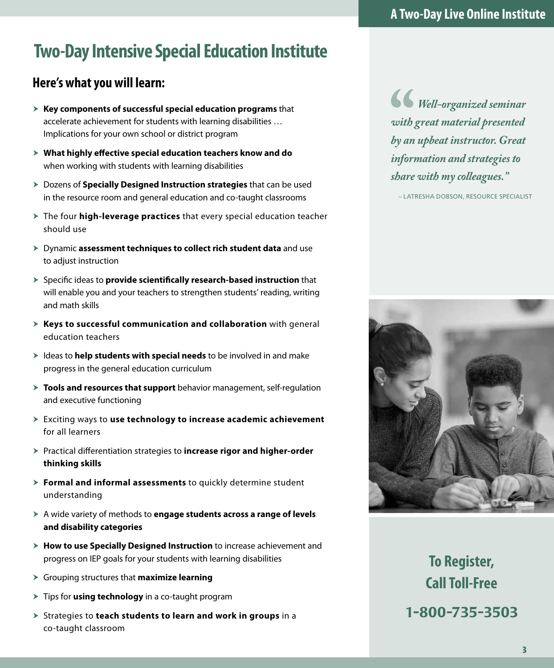# **Two-Day Intensive Special Education Institute**

# **Here's what you will learn:**

- h **Key components of successful special education programs** that accelerate achievement for students with learning disabilities … Implications for your own school or district program
- **X** What highly effective special education teachers know and do when working with students with learning disabilities
- **> Dozens of Specially Designed Instruction strategies** that can be used in the resource room and general education and co-taught classrooms
- $\geq$  The four **high-leverage practices** that every special education teacher should use
- h Dynamic **assessment techniques to collect rich student data** and use to adjust instruction
- h Specific ideas to **provide scientifically research-based instruction** that will enable you and your teachers to strengthen students' reading, writing and math skills
- **Keys to successful communication and collaboration** with general education teachers
- **>** Ideas to **help students with special needs** to be involved in and make progress in the general education curriculum
- **Tools and resources that support** behavior management, self-regulation and executive functioning
- h Exciting ways to **use technology to increase academic achievement**  for all learners
- h Practical differentiation strategies to **increase rigor and higher-order thinking skills**
- **Formal and informal assessments** to quickly determine student understanding
- h A wide variety of methods to **engage students across a range of levels and disability categories**
- **> How to use Specially Designed Instruction** to increase achievement and progress on IEP goals for your students with learning disabilities
- h Grouping structures that **maximize learning**
- **Fips for using technology** in a co-taught program
- > Strategies to **teach students to learn and work in groups** in a co-taught classroom

*Well-organized seminar with great material presented by an upbeat instructor. Great information and strategies to share with my colleagues."*

– LATRESHA DOBSON, RESOURCE SPECIALIST



**To Register, Call Toll-Free** 1-800-735-3503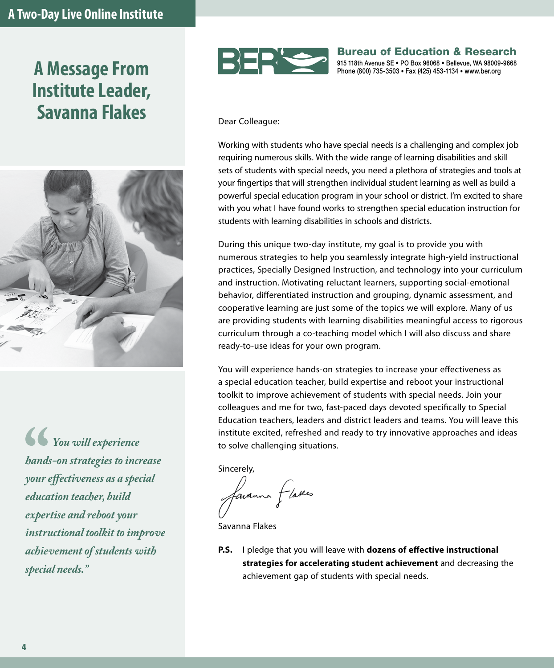# **A Message From Institute Leader, Savanna Flakes** Dear Colleague:



*You will experience hands-on strategies to increase your effectiveness as a special education teacher, build expertise and reboot your instructional toolkit to improve achievement of students with special needs."*



#### Bureau of Education & Research 915 118th Avenue SE • PO Box 96068 • Bellevue, WA 98009-9668

Phone (800) 735-3503 • Fax (425) 453-1134 • www.ber.org

Working with students who have special needs is a challenging and complex job requiring numerous skills. With the wide range of learning disabilities and skill sets of students with special needs, you need a plethora of strategies and tools at your fingertips that will strengthen individual student learning as well as build a powerful special education program in your school or district. I'm excited to share with you what I have found works to strengthen special education instruction for students with learning disabilities in schools and districts.

During this unique two-day institute, my goal is to provide you with numerous strategies to help you seamlessly integrate high-yield instructional practices, Specially Designed Instruction, and technology into your curriculum and instruction. Motivating reluctant learners, supporting social-emotional behavior, differentiated instruction and grouping, dynamic assessment, and cooperative learning are just some of the topics we will explore. Many of us are providing students with learning disabilities meaningful access to rigorous curriculum through a co-teaching model which I will also discuss and share ready-to-use ideas for your own program.

You will experience hands-on strategies to increase your effectiveness as a special education teacher, build expertise and reboot your instructional toolkit to improve achievement of students with special needs. Join your colleagues and me for two, fast-paced days devoted specifically to Special Education teachers, leaders and district leaders and teams. You will leave this institute excited, refreshed and ready to try innovative approaches and ideas to solve challenging situations.

Sincerely,

favanna flakes

Savanna Flakes

**P.S.** I pledge that you will leave with **dozens of effective instructional strategies for accelerating student achievement** and decreasing the achievement gap of students with special needs.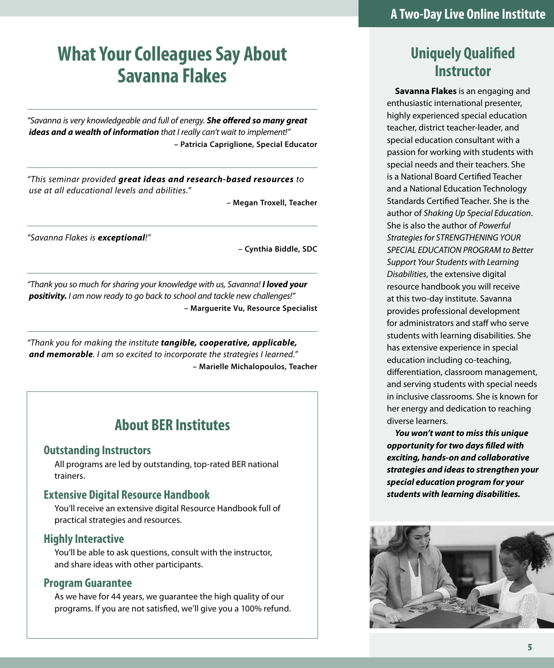# **What Your Colleagues Say About Savanna Flakes**

*"Savanna is very knowledgeable and full of energy. She offered so many great ideas and a wealth of information that I really can't wait to implement!"* **– Patricia Capriglione, Special Educator**

*"This seminar provided great ideas and research-based resources to use at all educational levels and abilities."*

**– Megan Troxell, Teacher**

*"Savanna Flakes is exceptional!"*

**– Cynthia Biddle, SDC**

*"Thank you so much for sharing your knowledge with us, Savanna! I loved your positivity. I am now ready to go back to school and tackle new challenges!"* **– Marguerite Vu, Resource Specialist**

*"Thank you for making the institute tangible, cooperative, applicable, and memorable. I am so excited to incorporate the strategies I learned."* **– Marielle Michalopoulos, Teacher**

### **About BER Institutes**

#### **Outstanding Instructors**

All programs are led by outstanding, top-rated BER national trainers.

#### **Extensive Digital Resource Handbook**

You'll receive an extensive digital Resource Handbook full of practical strategies and resources.

#### **Highly Interactive**

You'll be able to ask questions, consult with the instructor, and share ideas with other participants.

#### **Program Guarantee**

As we have for 44 years, we guarantee the high quality of our programs. If you are not satisfied, we'll give you a 100% refund.

# **Uniquely Qualified Instructor**

**Savanna Flakes** is an engaging and enthusiastic international presenter, highly experienced special education teacher, district teacher-leader, and special education consultant with a passion for working with students with special needs and their teachers. She is a National Board Certified Teacher and a National Education Technology Standards Certified Teacher. She is the author of *Shaking Up Special Education*. She is also the author of *Powerful Strategies for STRENGTHENING YOUR SPECIAL EDUCATION PROGRAM to Better Support Your Students with Learning Disabilities*, the extensive digital resource handbook you will receive at this two-day institute. Savanna provides professional development for administrators and staff who serve students with learning disabilities. She has extensive experience in special education including co-teaching, differentiation, classroom management, and serving students with special needs in inclusive classrooms. She is known for her energy and dedication to reaching diverse learners.

*You won't want to miss this unique opportunity for two days filled with exciting, hands-on and collaborative strategies and ideas to strengthen your special education program for your students with learning disabilities.* 

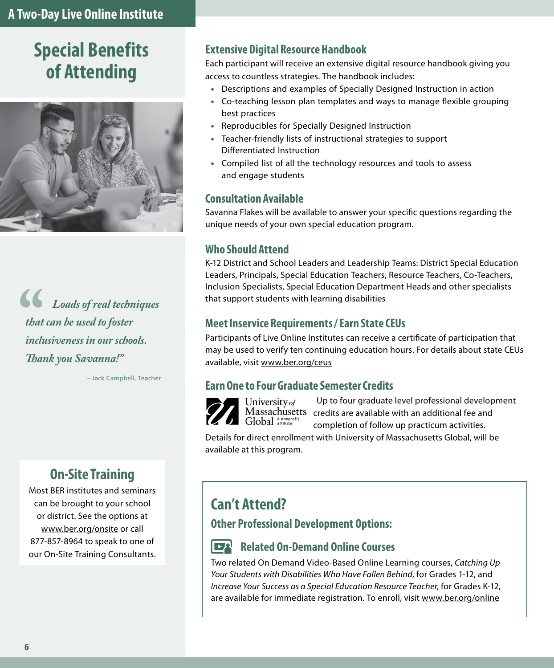# **Special Benefits of Attending**



*Loads of real techniques that can be used to foster inclusiveness in our schools. Thank you Savanna!"* 

– Jack Campbell, Teacher

# **On‑Site Training**

Most BER institutes and seminars can be brought to your school or district. See the options at www.ber.org/onsite or call 877-857-8964 to speak to one of our On-Site Training Consultants.

#### **Extensive Digital Resource Handbook**

Each participant will receive an extensive digital resource handbook giving you access to countless strategies. The handbook includes:

- Descriptions and examples of Specially Designed Instruction in action
- Co-teaching lesson plan templates and ways to manage flexible grouping best practices
- Reproducibles for Specially Designed Instruction
- Teacher-friendly lists of instructional strategies to support Differentiated Instruction
- Compiled list of all the technology resources and tools to assess and engage students

#### **Consultation Available**

Savanna Flakes will be available to answer your specific questions regarding the unique needs of your own special education program.

#### **Who Should Attend**

K-12 District and School Leaders and Leadership Teams: District Special Education Leaders, Principals, Special Education Teachers, Resource Teachers, Co-Teachers, Inclusion Specialists, Special Education Department Heads and other specialists that support students with learning disabilities

#### **Meet Inservice Requirements / Earn State CEUs**

Participants of Live Online Institutes can receive a certificate of participation that may be used to verify ten continuing education hours. For details about state CEUs available, visit www.ber.org/ceus

#### **Earn One to Four Graduate Semester Credits**



Up to four graduate level professional development  $\frac{1}{2}$ <br>Massachusetts credits are available with an additional fee and Global  $\frac{1}{2}$ completion of follow up practicum activities.

Details for direct enrollment with University of Massachusetts Global, will be available at this program.

### **Can't Attend?**

**Other Professional Development Options:**

#### **Related On-Demand Online Courses**

Two related On Demand Video-Based Online Learning courses, *Catching Up Your Students with Disabilities Who Have Fallen Behind*, for Grades 1-12, and *Increase Your Success as a Special Education Resource Teacher*, for Grades K-12, are available for immediate registration. To enroll, visit www.ber.org/online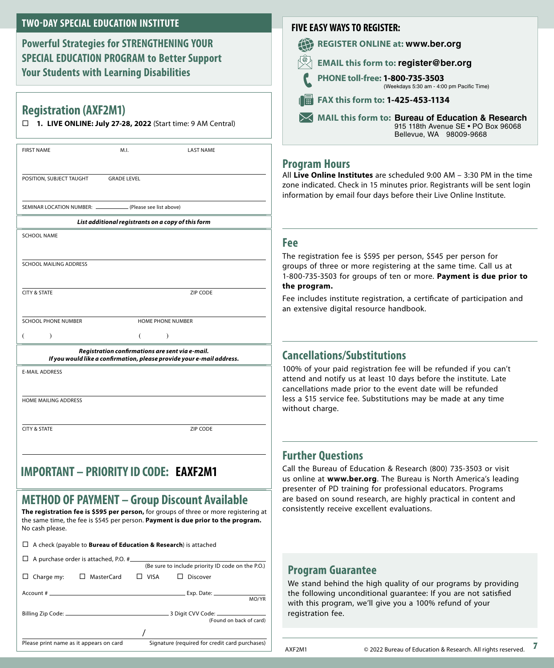#### **TWO‑DAY SPECIAL EDUCATION INSTITUTE**

**Powerful Strategies for STRENGTHENING YOUR SPECIAL EDUCATION PROGRAM to Better Support Your Students with Learning Disabilities**

#### **Registration (AXF2M1)**

**1. LIVE ONLINE: July 27-28, 2022** (Start time: 9 AM Central)

| <b>FIRST NAME</b>                                                                                                        | M.I.               | <b>LAST NAME</b>  |  |
|--------------------------------------------------------------------------------------------------------------------------|--------------------|-------------------|--|
| POSITION, SUBJECT TAUGHT                                                                                                 | <b>GRADE LEVEL</b> |                   |  |
| SEMINAR LOCATION NUMBER: ______________ (Please see list above)                                                          |                    |                   |  |
| List additional registrants on a copy of this form                                                                       |                    |                   |  |
| <b>SCHOOL NAME</b>                                                                                                       |                    |                   |  |
|                                                                                                                          |                    |                   |  |
| <b>SCHOOL MAILING ADDRESS</b>                                                                                            |                    |                   |  |
| <b>CITY &amp; STATE</b>                                                                                                  |                    | <b>ZIP CODE</b>   |  |
|                                                                                                                          |                    |                   |  |
| SCHOOL PHONE NUMBER                                                                                                      |                    | HOME PHONE NUMBER |  |
|                                                                                                                          |                    | I                 |  |
| Registration confirmations are sent via e-mail.<br>If you would like a confirmation, please provide your e-mail address. |                    |                   |  |
| <b>E-MAIL ADDRESS</b>                                                                                                    |                    |                   |  |
|                                                                                                                          |                    |                   |  |

HOME MAILING ADDRESS

**CITY & STATE ZIP CODE** 

#### **IMPORTANT: PRIORITY ID CODE IMPORTANT – PRIORITY ID CODE: EAXF2M1**

### **METHOD OF PAYMENT – Group Discount Available**

**The registration fee is \$595 per person,** for groups of three or more registering at the same time, the fee is \$545 per person. **Payment is due prior to the program.** No cash please.

| $\Box$ A check (payable to <b>Bureau of Education &amp; Research</b> ) is attached        |                                                   |  |  |
|-------------------------------------------------------------------------------------------|---------------------------------------------------|--|--|
| $\Box$ A purchase order is attached, P.O. #                                               | (Be sure to include priority ID code on the P.O.) |  |  |
| Charge my: $\Box$ MasterCard $\Box$ VISA                                                  | $\Box$ Discover                                   |  |  |
|                                                                                           | MO/YR                                             |  |  |
|                                                                                           | (Found on back of card)                           |  |  |
|                                                                                           |                                                   |  |  |
| Signature (required for credit card purchases)<br>Please print name as it appears on card |                                                   |  |  |

#### **FIVE EASY WAYS TO REGISTER:**



#### **Program Hours**

All **Live Online Institutes** are scheduled 9:00 AM – 3:30 PM in the time zone indicated. Check in 15 minutes prior. Registrants will be sent login information by email four days before their Live Online Institute.

#### **Fee**

The registration fee is \$595 per person, \$545 per person for groups of three or more registering at the same time. Call us at 1-800-735-3503 for groups of ten or more. **Payment is due prior to the program.**

Fee includes institute registration, a certificate of participation and an extensive digital resource handbook.

#### **Cancellations/Substitutions**

100% of your paid registration fee will be refunded if you can't attend and notify us at least 10 days before the institute. Late cancellations made prior to the event date will be refunded less a \$15 service fee. Substitutions may be made at any time without charge.

#### **Further Questions**

Call the Bureau of Education & Research (800) 735-3503 or visit us online at **www.ber.org**. The Bureau is North America's leading presenter of PD training for professional educators. Programs are based on sound research, are highly practical in content and consistently receive excellent evaluations.

#### **Program Guarantee**

We stand behind the high quality of our programs by providing the following unconditional guarantee: If you are not satisfied with this program, we'll give you a 100% refund of your registration fee.